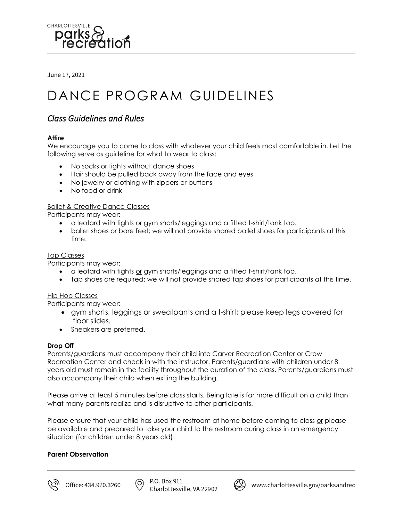

June 17, 2021

# DANCE PROGRAM GUIDELINES

## *Class Guidelines and Rules*

## **Attire**

We encourage you to come to class with whatever your child feels most comfortable in. Let the following serve as guideline for what to wear to class:

- No socks or tights without dance shoes
- Hair should be pulled back away from the face and eyes
- No jewelry or clothing with zippers or buttons
- No food or drink

## Ballet & Creative Dance Classes

Participants may wear:

- a leotard with tights or gym shorts/leggings and a fitted t-shirt/tank top.
- ballet shoes or bare feet; we will not provide shared ballet shoes for participants at this time.

## Tap Classes

Participants may wear:

- a leotard with tights or gym shorts/leggings and a fitted t-shirt/tank top.
- Tap shoes are required; we will not provide shared tap shoes for participants at this time.

#### Hip Hop Classes

Participants may wear:

- gym shorts, leggings or sweatpants and a t-shirt; please keep legs covered for floor slides.
- Sneakers are preferred.

#### **Drop Off**

Parents/guardians must accompany their child into Carver Recreation Center or Crow Recreation Center and check in with the instructor. Parents/guardians with children under 8 years old must remain in the facility throughout the duration of the class. Parents/guardians must also accompany their child when exiting the building.

Please arrive at least 5 minutes before class starts. Being late is far more difficult on a child than what many parents realize and is disruptive to other participants.

Please ensure that your child has used the restroom at home before coming to class or please be available and prepared to take your child to the restroom during class in an emergency situation (for children under 8 years old).

#### **Parent Observation**



(ഠ)

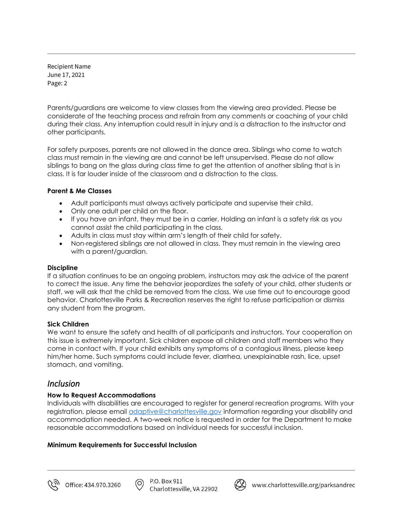Recipient Name June 17, 2021 Page: 2

Parents/guardians are welcome to view classes from the viewing area provided. Please be considerate of the teaching process and refrain from any comments or coaching of your child during their class. Any interruption could result in injury and is a distraction to the instructor and other participants.

For safety purposes, parents are not allowed in the dance area. Siblings who come to watch class must remain in the viewing are and cannot be left unsupervised. Please do not allow siblings to bang on the glass during class time to get the attention of another sibling that is in class. It is far louder inside of the classroom and a distraction to the class.

## **Parent & Me Classes**

- Adult participants must always actively participate and supervise their child.
- Only one adult per child on the floor.
- If you have an infant, they must be in a carrier. Holding an infant is a safety risk as you cannot assist the child participating in the class.
- Adults in class must stay within arm's length of their child for safety.
- Non-registered siblings are not allowed in class. They must remain in the viewing area with a parent/guardian.

## **Discipline**

If a situation continues to be an ongoing problem, instructors may ask the advice of the parent to correct the issue. Any time the behavior jeopardizes the safety of your child, other students or staff, we will ask that the child be removed from the class. We use time out to encourage good behavior. Charlottesville Parks & Recreation reserves the right to refuse participation or dismiss any student from the program.

## **Sick Children**

We want to ensure the safety and health of all participants and instructors. Your cooperation on this issue is extremely important. Sick children expose all children and staff members who they come in contact with. If your child exhibits any symptoms of a contagious illness, please keep him/her home. Such symptoms could include fever, diarrhea, unexplainable rash, lice, upset stomach, and vomiting.

## *Inclusion*

## **How to Request Accommodations**

Individuals with disabilities are encouraged to register for general recreation programs. With your registration, please email *adaptive@charlottesville.gov* information regarding your disability and accommodation needed. A two-week notice is requested in order for the Department to make reasonable accommodations based on individual needs for successful inclusion.

## **Minimum Requirements for Successful Inclusion**



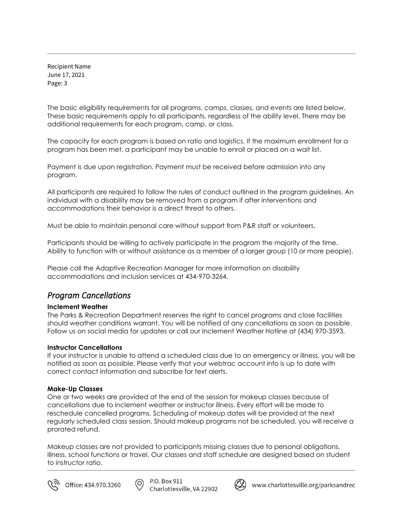Recipient Name June 17, 2021 Page: 3

The basic eligibility requirements for all programs, camps, classes, and events are listed below. These basic requirements apply to all participants, regardless of the ability level. There may be additional requirements for each program, camp, or class.

The capacity for each program is based on ratio and logistics. If the maximum enrollment for a program has been met, a participant may be unable to enroll or placed on a wait list.

Payment is due upon registration. Payment must be received before admission into any program.

All participants are required to follow the rules of conduct outlined in the program guidelines. An individual with a disability may be removed from a program if after interventions and accommodations their behavior is a direct threat to others.

Must be able to maintain personal care without support from P&R staff or volunteers.

Participants should be willing to actively participate in the program the majority of the time. Ability to function with or without assistance as a member of a larger group (10 or more people).

Please call the Adaptive Recreation Manager for more information on disability accommodations and inclusion services at 434-970-3264.

## *Program Cancellations*

#### **Inclement Weather**

The Parks & Recreation Department reserves the right to cancel programs and close facilities should weather conditions warrant. You will be notified of any cancellations as soon as possible. Follow us on social media for updates or call our Inclement Weather Hotline at (434) 970-3593.

#### **Instructor Cancellations**

If your instructor is unable to attend a scheduled class due to an emergency or illness, you will be notified as soon as possible. Please verify that your webtrac account info is up to date with correct contact information and subscribe for text alerts.

## **Make-Up Classes**

One or two weeks are provided at the end of the session for makeup classes because of cancellations due to inclement weather or instructor illness. Every effort will be made to reschedule cancelled programs. Scheduling of makeup dates will be provided at the next regularly scheduled class session. Should makeup programs not be scheduled, you will receive a prorated refund.

Makeup classes are not provided to participants missing classes due to personal obligations, illness, school functions or travel. Our classes and staff schedule are designed based on student to instructor ratio.



൫



(X) www.charlottesville.org/parksandrec